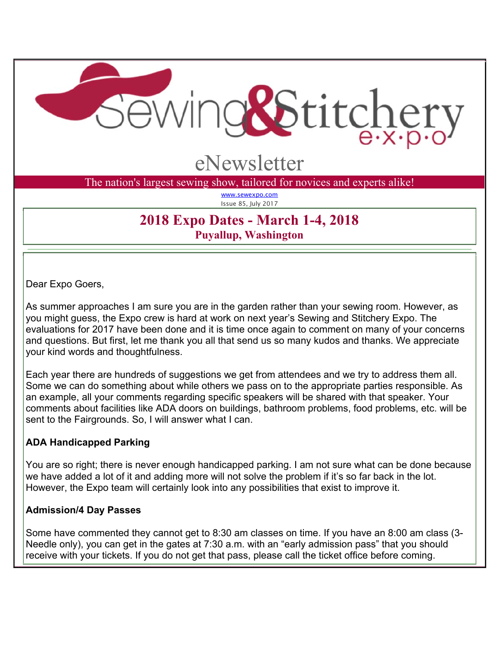

# eNewsletter

The nation's largest sewing show, tailored for novices and experts alike!

www.sewexpo.com Issue 85, July 2017

## **2018 Expo Dates - March 1-4, 2018 Puyallup, Washington**

Dear Expo Goers,

As summer approaches I am sure you are in the garden rather than your sewing room. However, as you might guess, the Expo crew is hard at work on next year's Sewing and Stitchery Expo. The evaluations for 2017 have been done and it is time once again to comment on many of your concerns and questions. But first, let me thank you all that send us so many kudos and thanks. We appreciate your kind words and thoughtfulness.

Each year there are hundreds of suggestions we get from attendees and we try to address them all. Some we can do something about while others we pass on to the appropriate parties responsible. As an example, all your comments regarding specific speakers will be shared with that speaker. Your comments about facilities like ADA doors on buildings, bathroom problems, food problems, etc. will be sent to the Fairgrounds. So, I will answer what I can.

## **ADA Handicapped Parking**

You are so right; there is never enough handicapped parking. I am not sure what can be done because we have added a lot of it and adding more will not solve the problem if it's so far back in the lot. However, the Expo team will certainly look into any possibilities that exist to improve it.

## **Admission/4 Day Passes**

Some have commented they cannot get to 8:30 am classes on time. If you have an 8:00 am class (3- Needle only), you can get in the gates at 7:30 a.m. with an "early admission pass" that you should receive with your tickets. If you do not get that pass, please call the ticket office before coming.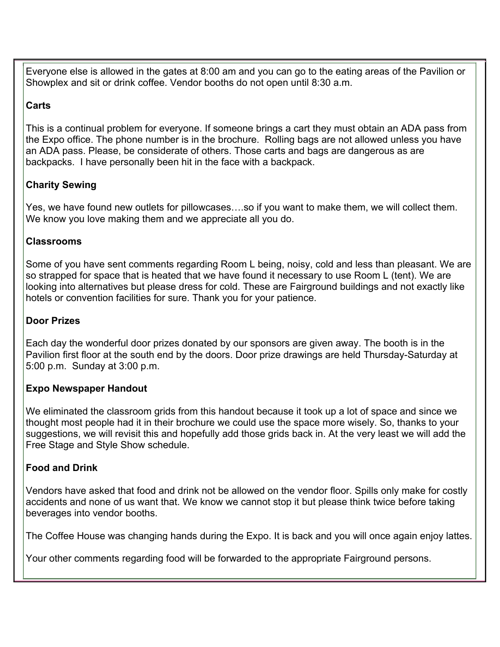Everyone else is allowed in the gates at 8:00 am and you can go to the eating areas of the Pavilion or Showplex and sit or drink coffee. Vendor booths do not open until 8:30 a.m.

## **Carts**

This is a continual problem for everyone. If someone brings a cart they must obtain an ADA pass from the Expo office. The phone number is in the brochure. Rolling bags are not allowed unless you have an ADA pass. Please, be considerate of others. Those carts and bags are dangerous as are backpacks. I have personally been hit in the face with a backpack.

## **Charity Sewing**

Yes, we have found new outlets for pillowcases….so if you want to make them, we will collect them. We know you love making them and we appreciate all you do.

## **Classrooms**

Some of you have sent comments regarding Room L being, noisy, cold and less than pleasant. We are so strapped for space that is heated that we have found it necessary to use Room L (tent). We are looking into alternatives but please dress for cold. These are Fairground buildings and not exactly like hotels or convention facilities for sure. Thank you for your patience.

## **Door Prizes**

Each day the wonderful door prizes donated by our sponsors are given away. The booth is in the Pavilion first floor at the south end by the doors. Door prize drawings are held Thursday-Saturday at 5:00 p.m. Sunday at 3:00 p.m.

## **Expo Newspaper Handout**

We eliminated the classroom grids from this handout because it took up a lot of space and since we thought most people had it in their brochure we could use the space more wisely. So, thanks to your suggestions, we will revisit this and hopefully add those grids back in. At the very least we will add the Free Stage and Style Show schedule.

## **Food and Drink**

Vendors have asked that food and drink not be allowed on the vendor floor. Spills only make for costly accidents and none of us want that. We know we cannot stop it but please think twice before taking beverages into vendor booths.

The Coffee House was changing hands during the Expo. It is back and you will once again enjoy lattes.

Your other comments regarding food will be forwarded to the appropriate Fairground persons.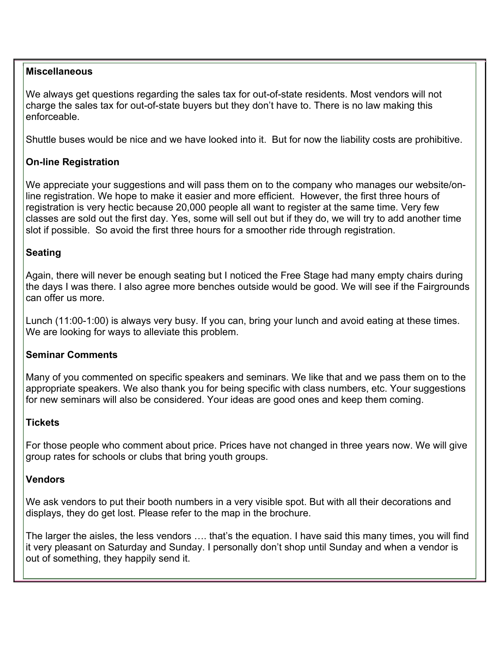#### **Miscellaneous**

We always get questions regarding the sales tax for out-of-state residents. Most vendors will not charge the sales tax for out-of-state buyers but they don't have to. There is no law making this enforceable.

Shuttle buses would be nice and we have looked into it. But for now the liability costs are prohibitive.

#### **On-line Registration**

We appreciate your suggestions and will pass them on to the company who manages our website/online registration. We hope to make it easier and more efficient. However, the first three hours of registration is very hectic because 20,000 people all want to register at the same time. Very few classes are sold out the first day. Yes, some will sell out but if they do, we will try to add another time slot if possible. So avoid the first three hours for a smoother ride through registration.

## **Seating**

Again, there will never be enough seating but I noticed the Free Stage had many empty chairs during the days I was there. I also agree more benches outside would be good. We will see if the Fairgrounds can offer us more.

Lunch (11:00-1:00) is always very busy. If you can, bring your lunch and avoid eating at these times. We are looking for ways to alleviate this problem.

#### **Seminar Comments**

Many of you commented on specific speakers and seminars. We like that and we pass them on to the appropriate speakers. We also thank you for being specific with class numbers, etc. Your suggestions for new seminars will also be considered. Your ideas are good ones and keep them coming.

#### **Tickets**

For those people who comment about price. Prices have not changed in three years now. We will give group rates for schools or clubs that bring youth groups.

#### **Vendors**

We ask vendors to put their booth numbers in a very visible spot. But with all their decorations and displays, they do get lost. Please refer to the map in the brochure.

The larger the aisles, the less vendors …. that's the equation. I have said this many times, you will find it very pleasant on Saturday and Sunday. I personally don't shop until Sunday and when a vendor is out of something, they happily send it.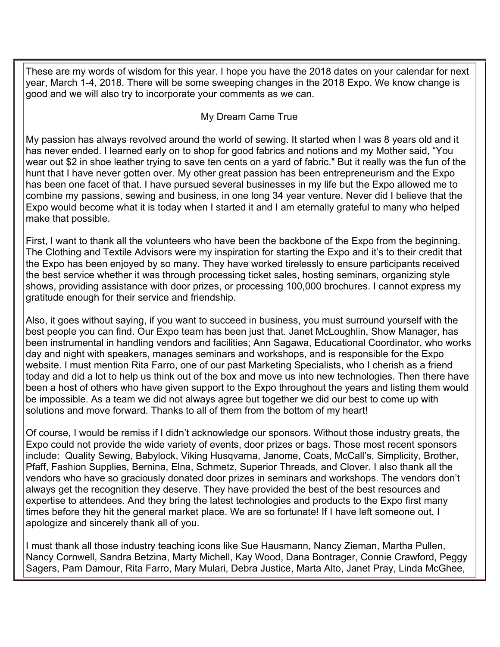These are my words of wisdom for this year. I hope you have the 2018 dates on your calendar for next year, March 1-4, 2018. There will be some sweeping changes in the 2018 Expo. We know change is good and we will also try to incorporate your comments as we can.

## My Dream Came True

My passion has always revolved around the world of sewing. It started when I was 8 years old and it has never ended. I learned early on to shop for good fabrics and notions and my Mother said, "You wear out \$2 in shoe leather trying to save ten cents on a yard of fabric." But it really was the fun of the hunt that I have never gotten over. My other great passion has been entrepreneurism and the Expo has been one facet of that. I have pursued several businesses in my life but the Expo allowed me to combine my passions, sewing and business, in one long 34 year venture. Never did I believe that the Expo would become what it is today when I started it and I am eternally grateful to many who helped make that possible.

First, I want to thank all the volunteers who have been the backbone of the Expo from the beginning. The Clothing and Textile Advisors were my inspiration for starting the Expo and it's to their credit that the Expo has been enjoyed by so many. They have worked tirelessly to ensure participants received the best service whether it was through processing ticket sales, hosting seminars, organizing style shows, providing assistance with door prizes, or processing 100,000 brochures. I cannot express my gratitude enough for their service and friendship.

Also, it goes without saying, if you want to succeed in business, you must surround yourself with the best people you can find. Our Expo team has been just that. Janet McLoughlin, Show Manager, has been instrumental in handling vendors and facilities; Ann Sagawa, Educational Coordinator, who works day and night with speakers, manages seminars and workshops, and is responsible for the Expo website. I must mention Rita Farro, one of our past Marketing Specialists, who I cherish as a friend today and did a lot to help us think out of the box and move us into new technologies. Then there have been a host of others who have given support to the Expo throughout the years and listing them would be impossible. As a team we did not always agree but together we did our best to come up with solutions and move forward. Thanks to all of them from the bottom of my heart!

Of course, I would be remiss if I didn't acknowledge our sponsors. Without those industry greats, the Expo could not provide the wide variety of events, door prizes or bags. Those most recent sponsors include: Quality Sewing, Babylock, Viking Husqvarna, Janome, Coats, McCall's, Simplicity, Brother, Pfaff, Fashion Supplies, Bernina, Elna, Schmetz, Superior Threads, and Clover. I also thank all the vendors who have so graciously donated door prizes in seminars and workshops. The vendors don't always get the recognition they deserve. They have provided the best of the best resources and expertise to attendees. And they bring the latest technologies and products to the Expo first many times before they hit the general market place. We are so fortunate! If I have left someone out, I apologize and sincerely thank all of you.

I must thank all those industry teaching icons like Sue Hausmann, Nancy Zieman, Martha Pullen, Nancy Cornwell, Sandra Betzina, Marty Michell, Kay Wood, Dana Bontrager, Connie Crawford, Peggy Sagers, Pam Damour, Rita Farro, Mary Mulari, Debra Justice, Marta Alto, Janet Pray, Linda McGhee,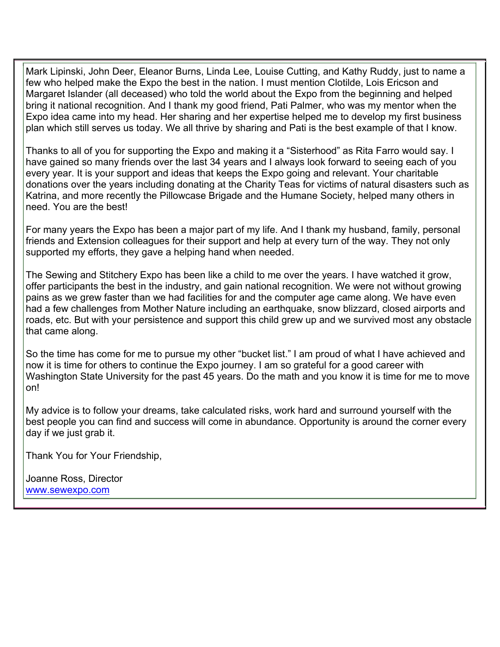Mark Lipinski, John Deer, Eleanor Burns, Linda Lee, Louise Cutting, and Kathy Ruddy, just to name a few who helped make the Expo the best in the nation. I must mention Clotilde, Lois Ericson and Margaret Islander (all deceased) who told the world about the Expo from the beginning and helped bring it national recognition. And I thank my good friend, Pati Palmer, who was my mentor when the Expo idea came into my head. Her sharing and her expertise helped me to develop my first business plan which still serves us today. We all thrive by sharing and Pati is the best example of that I know.

Thanks to all of you for supporting the Expo and making it a "Sisterhood" as Rita Farro would say. I have gained so many friends over the last 34 years and I always look forward to seeing each of you every year. It is your support and ideas that keeps the Expo going and relevant. Your charitable donations over the years including donating at the Charity Teas for victims of natural disasters such as Katrina, and more recently the Pillowcase Brigade and the Humane Society, helped many others in need. You are the best!

For many years the Expo has been a major part of my life. And I thank my husband, family, personal friends and Extension colleagues for their support and help at every turn of the way. They not only supported my efforts, they gave a helping hand when needed.

The Sewing and Stitchery Expo has been like a child to me over the years. I have watched it grow, offer participants the best in the industry, and gain national recognition. We were not without growing pains as we grew faster than we had facilities for and the computer age came along. We have even had a few challenges from Mother Nature including an earthquake, snow blizzard, closed airports and roads, etc. But with your persistence and support this child grew up and we survived most any obstacle that came along.

So the time has come for me to pursue my other "bucket list." I am proud of what I have achieved and now it is time for others to continue the Expo journey. I am so grateful for a good career with Washington State University for the past 45 years. Do the math and you know it is time for me to move on!

My advice is to follow your dreams, take calculated risks, work hard and surround yourself with the best people you can find and success will come in abundance. Opportunity is around the corner every day if we just grab it.

Thank You for Your Friendship,

 www.sewexpo.comJoanne Ross, Director